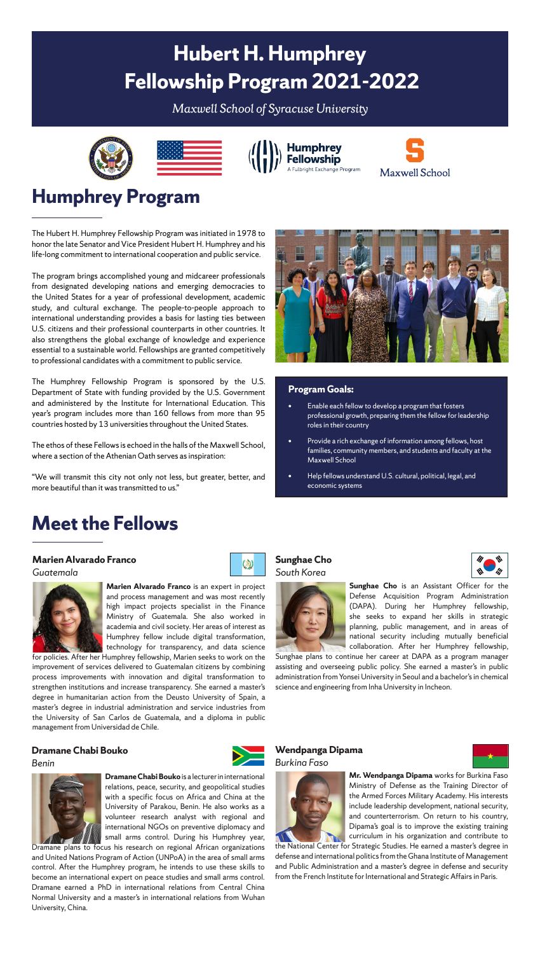# **Hubert H. Humphrey Fellowship Program 2021-2022**

*Maxwell School of Syracuse University*









## **Humphrey Program**

The Hubert H. Humphrey Fellowship Program was initiated in 1978 to honor the late Senator and Vice President Hubert H. Humphrey and his life-long commitment to international cooperation and public service.

The program brings accomplished young and midcareer professionals from designated developing nations and emerging democracies to the United States for a year of professional development, academic study, and cultural exchange. The people-to-people approach to international understanding provides a basis for lasting ties between U.S. citizens and their professional counterparts in other countries. It also strengthens the global exchange of knowledge and experience essential to a sustainable world. Fellowships are granted competitively to professional candidates with a commitment to public service.

The Humphrey Fellowship Program is sponsored by the U.S. Department of State with funding provided by the U.S. Government and administered by the Institute for International Education. This year's program includes more than 160 fellows from more than 95 countries hosted by 13 universities throughout the United States.

The ethos of these Fellows is echoed in the halls of the Maxwell School, where a section of the Athenian Oath serves as inspiration:

"We will transmit this city not only not less, but greater, better, and more beautiful than it was transmitted to us."

# **Meet the Fellows**

### **Marien Alvarado Franco**





**Marien Alvarado Franco** is an expert in project and process management and was most recently high impact projects specialist in the Finance Ministry of Guatemala. She also worked in academia and civil society. Her areas of interest as Humphrey fellow include digital transformation, technology for transparency, and data science

for policies. After her Humphrey fellowship, Marien seeks to work on the improvement of services delivered to Guatemalan citizens by combining process improvements with innovation and digital transformation to strengthen institutions and increase transparency. She earned a master's degree in humanitarian action from the Deusto University of Spain, a master's degree in industrial administration and service industries from the University of San Carlos de Guatemala, and a diploma in public management from Universidad de Chile.

### **Dramane Chabi Bouko**





**Dramane Chabi Bouko** is a lecturer in international relations, peace, security, and geopolitical studies with a specific focus on Africa and China at the University of Parakou, Benin. He also works as a volunteer research analyst with regional and international NGOs on preventive diplomacy and small arms control. During his Humphrey year,

Dramane plans to focus his research on regional African organizations and United Nations Program of Action (UNPoA) in the area of small arms control. After the Humphrey program, he intends to use these skills to become an international expert on peace studies and small arms control. Dramane earned a PhD in international relations from Central China Normal University and a master's in international relations from Wuhan University, China.



#### **Program Goals:**

- Enable each fellow to develop a program that fosters professional growth, preparing them the fellow for leadership roles in their country
- Provide a rich exchange of information among fellows, host families, community members, and students and faculty at the Maxwell School
- Help fellows understand U.S. cultural, political, legal, and economic systems

#### **Sunghae Cho** *South Korea*

 $\circledcirc$ 



**Sunghae Cho** is an Assistant Officer for the Defense Acquisition Program Administration (DAPA). During her Humphrey fellowship, she seeks to expand her skills in strategic planning, public management, and in areas of national security including mutually beneficial collaboration. After her Humphrey fellowship,

Sunghae plans to continue her career at DAPA as a program manager assisting and overseeing public policy. She earned a master's in public administration from Yonsei University in Seoul and a bachelor's in chemical science and engineering from Inha University in Incheon.

#### **Wendpanga Dipama** *Burkina Faso*



**Mr. Wendpanga Dipama** works for Burkina Faso Ministry of Defense as the Training Director of the Armed Forces Military Academy. His interests include leadership development, national security, and counterterrorism. On return to his country, Dipama's goal is to improve the existing training curriculum in his organization and contribute to

the National Center for Strategic Studies. He earned a master's degree in defense and international politics from the Ghana Institute of Management and Public Administration and a master's degree in defense and security from the French Institute for International and Strategic Affairs in Paris.